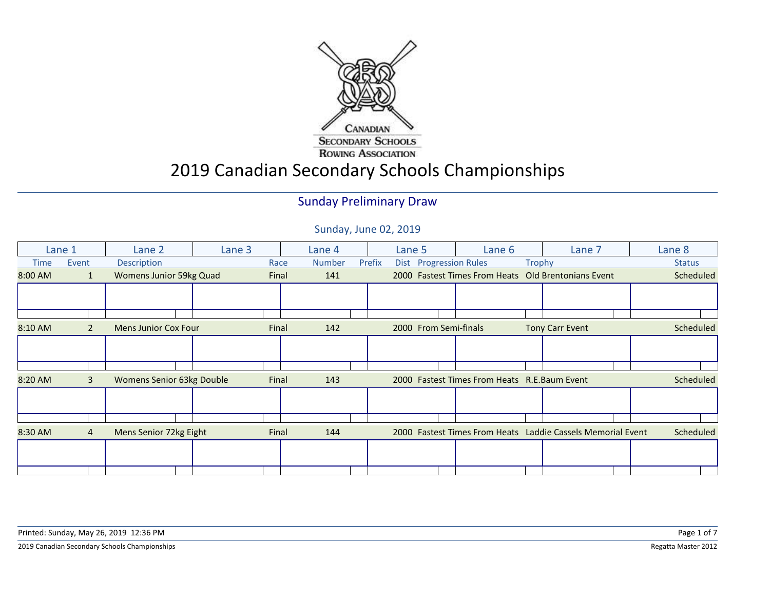

# 2019 Canadian Secondary Schools Championships

#### Sunday Preliminary Draw

|         | Lane 1         | Lane 2                      | Lane 3 |       | Lane 4        |        | Lane 5                 | Lane 6                                       |        | Lane 7                                                      | Lane 8        |
|---------|----------------|-----------------------------|--------|-------|---------------|--------|------------------------|----------------------------------------------|--------|-------------------------------------------------------------|---------------|
| Time    | Event          | Description                 |        | Race  | <b>Number</b> | Prefix | Dist Progression Rules |                                              | Trophy |                                                             | <b>Status</b> |
| 8:00 AM | $\mathbf{1}$   | Womens Junior 59kg Quad     |        | Final | 141           |        |                        |                                              |        | 2000 Fastest Times From Heats Old Brentonians Event         | Scheduled     |
|         |                |                             |        |       |               |        |                        |                                              |        |                                                             |               |
|         |                |                             |        |       |               |        |                        |                                              |        |                                                             |               |
|         |                |                             |        |       |               |        |                        |                                              |        |                                                             |               |
| 8:10 AM | $\overline{2}$ | <b>Mens Junior Cox Four</b> |        | Final | 142           |        | 2000 From Semi-finals  |                                              |        | <b>Tony Carr Event</b>                                      | Scheduled     |
|         |                |                             |        |       |               |        |                        |                                              |        |                                                             |               |
|         |                |                             |        |       |               |        |                        |                                              |        |                                                             |               |
|         |                |                             |        |       |               |        |                        |                                              |        |                                                             |               |
| 8:20 AM | 3              | Womens Senior 63kg Double   |        | Final | 143           |        |                        | 2000 Fastest Times From Heats R.E.Baum Event |        |                                                             | Scheduled     |
|         |                |                             |        |       |               |        |                        |                                              |        |                                                             |               |
|         |                |                             |        |       |               |        |                        |                                              |        |                                                             |               |
|         |                |                             |        |       |               |        |                        |                                              |        |                                                             |               |
| 8:30 AM | 4              | Mens Senior 72kg Eight      |        | Final | 144           |        |                        |                                              |        | 2000 Fastest Times From Heats Laddie Cassels Memorial Event | Scheduled     |
|         |                |                             |        |       |               |        |                        |                                              |        |                                                             |               |
|         |                |                             |        |       |               |        |                        |                                              |        |                                                             |               |
|         |                |                             |        |       |               |        |                        |                                              |        |                                                             |               |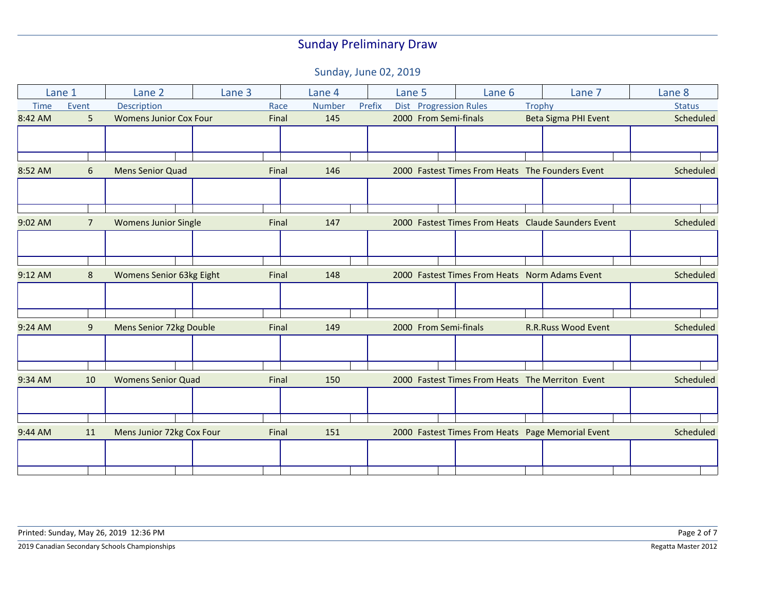| Lane 1      |                | Lane 2                        | Lane 3 |       | Lane 4 |        | Lane 5 |                        | Lane 6                                           |        | Lane 7                                              | Lane 8        |
|-------------|----------------|-------------------------------|--------|-------|--------|--------|--------|------------------------|--------------------------------------------------|--------|-----------------------------------------------------|---------------|
| <b>Time</b> | Event          | Description                   |        | Race  | Number | Prefix |        | Dist Progression Rules |                                                  | Trophy |                                                     | <b>Status</b> |
| 8:42 AM     | 5              | <b>Womens Junior Cox Four</b> |        | Final | 145    |        |        | 2000 From Semi-finals  |                                                  |        | Beta Sigma PHI Event                                | Scheduled     |
|             |                |                               |        |       |        |        |        |                        |                                                  |        |                                                     |               |
|             |                |                               |        |       |        |        |        |                        |                                                  |        |                                                     |               |
|             |                |                               |        |       |        |        |        |                        |                                                  |        |                                                     |               |
| 8:52 AM     | 6              | <b>Mens Senior Quad</b>       |        | Final | 146    |        |        |                        | 2000 Fastest Times From Heats The Founders Event |        |                                                     | Scheduled     |
|             |                |                               |        |       |        |        |        |                        |                                                  |        |                                                     |               |
|             |                |                               |        |       |        |        |        |                        |                                                  |        |                                                     |               |
| 9:02 AM     | $\overline{7}$ | <b>Womens Junior Single</b>   |        | Final | 147    |        |        |                        |                                                  |        | 2000 Fastest Times From Heats Claude Saunders Event | Scheduled     |
|             |                |                               |        |       |        |        |        |                        |                                                  |        |                                                     |               |
|             |                |                               |        |       |        |        |        |                        |                                                  |        |                                                     |               |
| 9:12 AM     | 8              | Womens Senior 63kg Eight      |        | Final | 148    |        |        |                        | 2000 Fastest Times From Heats Norm Adams Event   |        |                                                     | Scheduled     |
|             |                |                               |        |       |        |        |        |                        |                                                  |        |                                                     |               |
|             |                |                               |        |       |        |        |        |                        |                                                  |        |                                                     |               |
|             |                |                               |        |       |        |        |        |                        |                                                  |        |                                                     |               |
| 9:24 AM     | 9              | Mens Senior 72kg Double       |        | Final | 149    |        |        | 2000 From Semi-finals  |                                                  |        | <b>R.R.Russ Wood Event</b>                          | Scheduled     |
|             |                |                               |        |       |        |        |        |                        |                                                  |        |                                                     |               |
|             |                |                               |        |       |        |        |        |                        |                                                  |        |                                                     |               |
| 9:34 AM     | 10             | <b>Womens Senior Quad</b>     |        | Final | 150    |        |        |                        | 2000 Fastest Times From Heats The Merriton Event |        |                                                     | Scheduled     |
|             |                |                               |        |       |        |        |        |                        |                                                  |        |                                                     |               |
|             |                |                               |        |       |        |        |        |                        |                                                  |        |                                                     |               |
|             |                |                               |        |       |        |        |        |                        |                                                  |        |                                                     |               |
| 9:44 AM     | 11             | Mens Junior 72kg Cox Four     |        | Final | 151    |        |        |                        |                                                  |        | 2000 Fastest Times From Heats Page Memorial Event   | Scheduled     |
|             |                |                               |        |       |        |        |        |                        |                                                  |        |                                                     |               |
|             |                |                               |        |       |        |        |        |                        |                                                  |        |                                                     |               |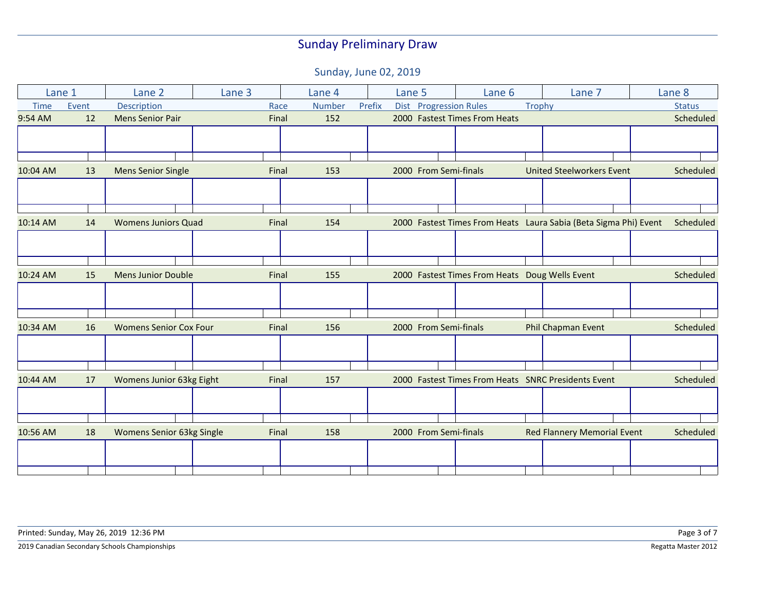|             | Lane 1 | Lane 2                           | Lane 3 |       | Lane 4        |        | Lane 5 |  | Lane 6                                         |        | Lane 7                                                           | Lane <sub>8</sub> |
|-------------|--------|----------------------------------|--------|-------|---------------|--------|--------|--|------------------------------------------------|--------|------------------------------------------------------------------|-------------------|
| <b>Time</b> | Event  | Description                      |        | Race  | <b>Number</b> | Prefix |        |  | Dist Progression Rules                         | Trophy |                                                                  | <b>Status</b>     |
| 9:54 AM     | 12     | <b>Mens Senior Pair</b>          |        | Final | 152           |        |        |  | 2000 Fastest Times From Heats                  |        |                                                                  | Scheduled         |
|             |        |                                  |        |       |               |        |        |  |                                                |        |                                                                  |                   |
|             |        |                                  |        |       |               |        |        |  |                                                |        |                                                                  |                   |
|             |        |                                  |        |       |               |        |        |  |                                                |        |                                                                  |                   |
| 10:04 AM    | 13     | <b>Mens Senior Single</b>        |        | Final | 153           |        |        |  | 2000 From Semi-finals                          |        | <b>United Steelworkers Event</b>                                 | Scheduled         |
|             |        |                                  |        |       |               |        |        |  |                                                |        |                                                                  |                   |
|             |        |                                  |        |       |               |        |        |  |                                                |        |                                                                  |                   |
|             |        |                                  |        |       |               |        |        |  |                                                |        |                                                                  |                   |
| 10:14 AM    | 14     | <b>Womens Juniors Quad</b>       |        | Final | 154           |        |        |  |                                                |        | 2000 Fastest Times From Heats Laura Sabia (Beta Sigma Phi) Event | Scheduled         |
|             |        |                                  |        |       |               |        |        |  |                                                |        |                                                                  |                   |
|             |        |                                  |        |       |               |        |        |  |                                                |        |                                                                  |                   |
|             |        |                                  |        |       |               |        |        |  |                                                |        |                                                                  |                   |
| 10:24 AM    | 15     | <b>Mens Junior Double</b>        |        | Final | 155           |        |        |  | 2000 Fastest Times From Heats Doug Wells Event |        |                                                                  | Scheduled         |
|             |        |                                  |        |       |               |        |        |  |                                                |        |                                                                  |                   |
|             |        |                                  |        |       |               |        |        |  |                                                |        |                                                                  |                   |
|             |        |                                  |        |       |               |        |        |  |                                                |        |                                                                  |                   |
| 10:34 AM    | 16     | <b>Womens Senior Cox Four</b>    |        | Final | 156           |        |        |  | 2000 From Semi-finals                          |        | Phil Chapman Event                                               | Scheduled         |
|             |        |                                  |        |       |               |        |        |  |                                                |        |                                                                  |                   |
|             |        |                                  |        |       |               |        |        |  |                                                |        |                                                                  |                   |
|             |        |                                  |        |       |               |        |        |  |                                                |        |                                                                  |                   |
| 10:44 AM    | 17     | Womens Junior 63kg Eight         |        | Final | 157           |        |        |  |                                                |        | 2000 Fastest Times From Heats SNRC Presidents Event              | Scheduled         |
|             |        |                                  |        |       |               |        |        |  |                                                |        |                                                                  |                   |
|             |        |                                  |        |       |               |        |        |  |                                                |        |                                                                  |                   |
|             |        |                                  |        |       |               |        |        |  |                                                |        |                                                                  |                   |
| 10:56 AM    | 18     | <b>Womens Senior 63kg Single</b> |        | Final | 158           |        |        |  | 2000 From Semi-finals                          |        | <b>Red Flannery Memorial Event</b>                               | Scheduled         |
|             |        |                                  |        |       |               |        |        |  |                                                |        |                                                                  |                   |
|             |        |                                  |        |       |               |        |        |  |                                                |        |                                                                  |                   |
|             |        |                                  |        |       |               |        |        |  |                                                |        |                                                                  |                   |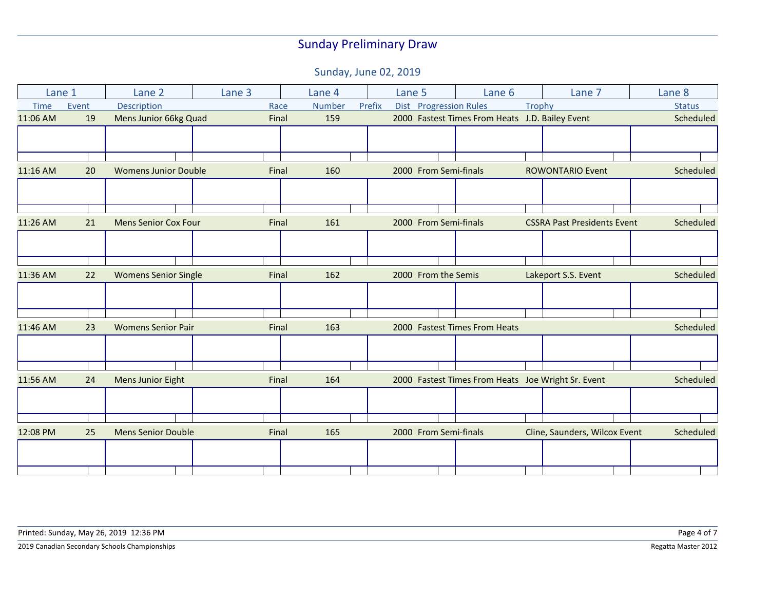| Lane 1      |       | Lane 2                      | Lane 3 | Lane 4        | Lane 5 |                        | Lane 6                                          | Lane 7                                             | Lane 8        |
|-------------|-------|-----------------------------|--------|---------------|--------|------------------------|-------------------------------------------------|----------------------------------------------------|---------------|
| <b>Time</b> | Event | Description                 | Race   | <b>Number</b> | Prefix | Dist Progression Rules |                                                 | <b>Trophy</b>                                      | <b>Status</b> |
| 11:06 AM    | 19    | Mens Junior 66kg Quad       | Final  | 159           |        |                        | 2000 Fastest Times From Heats J.D. Bailey Event |                                                    | Scheduled     |
|             |       |                             |        |               |        |                        |                                                 |                                                    |               |
|             |       |                             |        |               |        |                        |                                                 |                                                    |               |
|             |       |                             |        |               |        |                        |                                                 |                                                    |               |
| 11:16 AM    | 20    | <b>Womens Junior Double</b> | Final  | 160           |        | 2000 From Semi-finals  |                                                 | <b>ROWONTARIO Event</b>                            | Scheduled     |
|             |       |                             |        |               |        |                        |                                                 |                                                    |               |
|             |       |                             |        |               |        |                        |                                                 |                                                    |               |
|             |       |                             |        |               |        |                        |                                                 |                                                    |               |
| 11:26 AM    | 21    | <b>Mens Senior Cox Four</b> | Final  | 161           |        | 2000 From Semi-finals  |                                                 | <b>CSSRA Past Presidents Event</b>                 | Scheduled     |
|             |       |                             |        |               |        |                        |                                                 |                                                    |               |
|             |       |                             |        |               |        |                        |                                                 |                                                    |               |
|             |       |                             |        |               |        |                        |                                                 |                                                    |               |
| 11:36 AM    | 22    | <b>Womens Senior Single</b> | Final  | 162           |        | 2000 From the Semis    |                                                 | Lakeport S.S. Event                                | Scheduled     |
|             |       |                             |        |               |        |                        |                                                 |                                                    |               |
|             |       |                             |        |               |        |                        |                                                 |                                                    |               |
|             |       |                             |        |               |        |                        |                                                 |                                                    |               |
| 11:46 AM    | 23    | <b>Womens Senior Pair</b>   | Final  | 163           |        |                        | 2000 Fastest Times From Heats                   |                                                    | Scheduled     |
|             |       |                             |        |               |        |                        |                                                 |                                                    |               |
|             |       |                             |        |               |        |                        |                                                 |                                                    |               |
|             |       |                             |        |               |        |                        |                                                 |                                                    |               |
| 11:56 AM    | 24    | Mens Junior Eight           | Final  | 164           |        |                        |                                                 | 2000 Fastest Times From Heats Joe Wright Sr. Event | Scheduled     |
|             |       |                             |        |               |        |                        |                                                 |                                                    |               |
|             |       |                             |        |               |        |                        |                                                 |                                                    |               |
|             |       |                             |        |               |        |                        |                                                 |                                                    |               |
| 12:08 PM    | 25    | <b>Mens Senior Double</b>   | Final  | 165           |        | 2000 From Semi-finals  |                                                 | Cline, Saunders, Wilcox Event                      | Scheduled     |
|             |       |                             |        |               |        |                        |                                                 |                                                    |               |
|             |       |                             |        |               |        |                        |                                                 |                                                    |               |
|             |       |                             |        |               |        |                        |                                                 |                                                    |               |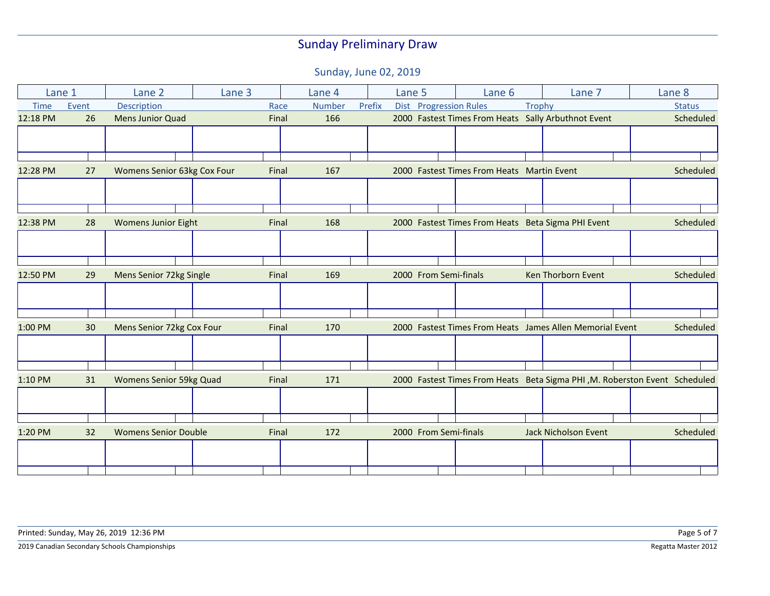|             | Lane 1 | Lane 2                      | Lane <sub>3</sub> |       | Lane 4        |        | Lane 5 |                        | Lane 6                                     |               | Lane 7                                                                     | Lane 8        |
|-------------|--------|-----------------------------|-------------------|-------|---------------|--------|--------|------------------------|--------------------------------------------|---------------|----------------------------------------------------------------------------|---------------|
| <b>Time</b> | Event  | Description                 |                   | Race  | <b>Number</b> | Prefix |        | Dist Progression Rules |                                            | <b>Trophy</b> |                                                                            | <b>Status</b> |
| 12:18 PM    | 26     | <b>Mens Junior Quad</b>     |                   | Final | 166           |        |        |                        |                                            |               | 2000 Fastest Times From Heats Sally Arbuthnot Event                        | Scheduled     |
|             |        |                             |                   |       |               |        |        |                        |                                            |               |                                                                            |               |
|             |        |                             |                   |       |               |        |        |                        |                                            |               |                                                                            |               |
|             |        |                             |                   |       |               |        |        |                        |                                            |               |                                                                            |               |
| 12:28 PM    | 27     | Womens Senior 63kg Cox Four |                   | Final | 167           |        |        |                        | 2000 Fastest Times From Heats Martin Event |               |                                                                            | Scheduled     |
|             |        |                             |                   |       |               |        |        |                        |                                            |               |                                                                            |               |
|             |        |                             |                   |       |               |        |        |                        |                                            |               |                                                                            |               |
|             |        |                             |                   |       |               |        |        |                        |                                            |               |                                                                            |               |
| 12:38 PM    | 28     | <b>Womens Junior Eight</b>  |                   | Final | 168           |        |        |                        |                                            |               | 2000 Fastest Times From Heats Beta Sigma PHI Event                         | Scheduled     |
|             |        |                             |                   |       |               |        |        |                        |                                            |               |                                                                            |               |
|             |        |                             |                   |       |               |        |        |                        |                                            |               |                                                                            |               |
|             |        |                             |                   |       |               |        |        |                        |                                            |               |                                                                            |               |
| 12:50 PM    | 29     | Mens Senior 72kg Single     |                   | Final | 169           |        |        | 2000 From Semi-finals  |                                            |               | Ken Thorborn Event                                                         | Scheduled     |
|             |        |                             |                   |       |               |        |        |                        |                                            |               |                                                                            |               |
|             |        |                             |                   |       |               |        |        |                        |                                            |               |                                                                            |               |
|             |        |                             |                   |       |               |        |        |                        |                                            |               |                                                                            |               |
| 1:00 PM     | 30     | Mens Senior 72kg Cox Four   |                   | Final | 170           |        |        |                        |                                            |               | 2000 Fastest Times From Heats James Allen Memorial Event                   | Scheduled     |
|             |        |                             |                   |       |               |        |        |                        |                                            |               |                                                                            |               |
|             |        |                             |                   |       |               |        |        |                        |                                            |               |                                                                            |               |
|             |        |                             |                   |       |               |        |        |                        |                                            |               |                                                                            |               |
| 1:10 PM     | 31     | Womens Senior 59kg Quad     |                   | Final | 171           |        |        |                        |                                            |               | 2000 Fastest Times From Heats Beta Sigma PHI, M. Roberston Event Scheduled |               |
|             |        |                             |                   |       |               |        |        |                        |                                            |               |                                                                            |               |
|             |        |                             |                   |       |               |        |        |                        |                                            |               |                                                                            |               |
|             |        |                             |                   |       |               |        |        |                        |                                            |               |                                                                            |               |
| 1:20 PM     | 32     | <b>Womens Senior Double</b> |                   | Final | 172           |        |        | 2000 From Semi-finals  |                                            |               | <b>Jack Nicholson Event</b>                                                | Scheduled     |
|             |        |                             |                   |       |               |        |        |                        |                                            |               |                                                                            |               |
|             |        |                             |                   |       |               |        |        |                        |                                            |               |                                                                            |               |
|             |        |                             |                   |       |               |        |        |                        |                                            |               |                                                                            |               |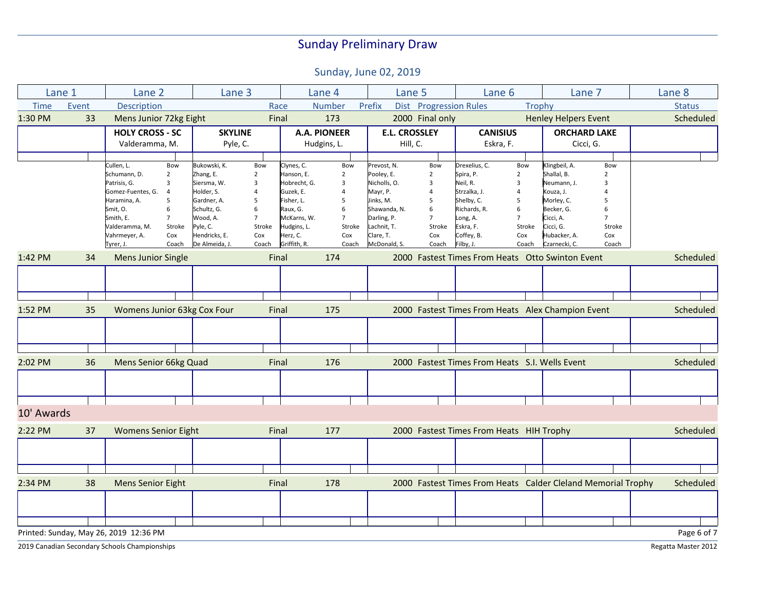Sunday, June 02, 2019

| Lane 1      |       | Lane 2                                 | Lane 3                      | Lane 4                        | Lane 5                           | Lane 6                                            | Lane 7                                                       | Lane 8        |
|-------------|-------|----------------------------------------|-----------------------------|-------------------------------|----------------------------------|---------------------------------------------------|--------------------------------------------------------------|---------------|
| <b>Time</b> | Event | Description                            |                             | Race<br><b>Number</b>         | Prefix<br>Dist Progression Rules | <b>Trophy</b>                                     |                                                              | <b>Status</b> |
| 1:30 PM     | 33    | Mens Junior 72kg Eight                 | Final                       | 173                           | 2000 Final only                  |                                                   | <b>Henley Helpers Event</b>                                  | Scheduled     |
|             |       | <b>HOLY CROSS - SC</b>                 | <b>SKYLINE</b>              | <b>A.A. PIONEER</b>           | <b>E.L. CROSSLEY</b>             | <b>CANISIUS</b>                                   | <b>ORCHARD LAKE</b>                                          |               |
|             |       | Valderamma, M.                         | Pyle, C.                    | Hudgins, L.                   | Hill, C.                         | Eskra, F.                                         | Cicci, G.                                                    |               |
|             |       |                                        |                             |                               |                                  |                                                   |                                                              |               |
|             |       | Cullen, L.<br>Bow                      | Bukowski, K.<br>Bow         | Clynes, C.<br>Bow             | Prevost, N.<br>Bow               | Drexelius, C.<br>Bow                              | Klingbeil, A.<br>Bow                                         |               |
|             |       | Schumann, D.<br>$\overline{2}$         | Zhang, E.<br>$\overline{2}$ | Hanson, E.<br>$\overline{2}$  | Pooley, E.<br>$\overline{2}$     | Spira, P.<br>$\overline{2}$                       | Shallal, B.<br>$\overline{2}$                                |               |
|             |       | Patrisis, G.<br>3                      | Siersma, W.<br>3            | Hobrecht, G.<br>3             | Nicholls, O.<br>3                | Neil, R.<br>3                                     | Neumann, J.<br>$\overline{3}$                                |               |
|             |       | Gomez-Fuentes, G.<br>$\overline{4}$    | Holder, S.<br>4             | Guzek, E.<br>$\overline{4}$   | Mayr, P.<br>4                    | Strzalka, J.                                      | Kouza, J.<br>$\overline{4}$                                  |               |
|             |       | Haramina, A.<br>5                      | Gardner, A.<br>5            | Fisher, L.<br>5               | Jinks, M.<br>5                   | Shelby, C.<br>5                                   | Morley, C.<br>5                                              |               |
|             |       | 6<br>Smit, O.                          | Schultz, G.<br>6            | Raux, G.<br>6                 | Shawanda, N.<br>6                | Richards, R.<br>6                                 | Becker, G.<br>6                                              |               |
|             |       | $\overline{7}$<br>Smith, E.            | Wood, A.<br>$\overline{7}$  | McKarns, W.<br>$\overline{7}$ | Darling, P.<br>$\overline{7}$    | Long, A.<br>$\overline{7}$                        | Cicci, A.<br>$\overline{7}$                                  |               |
|             |       | Stroke<br>Valderamma, M.               | Pyle, C.<br>Stroke          | Hudgins, L.<br>Stroke         | Lachnit, T.<br>Stroke            | Eskra, F.<br>Stroke                               | Cicci, G.<br>Stroke                                          |               |
|             |       | Cox<br>Vahrmeyer, A.                   | Hendricks, E.<br>Cox        | Herz, C.<br>Cox               | Clare, T.<br>Cox                 | Coffey, B.<br>Cox                                 | Hubacker, A.<br>Cox                                          |               |
|             |       | Tyrer, J.<br>Coach                     | De Almeida, J.<br>Coach     | Griffith, R.<br>Coach         | McDonald, S.<br>Coach            | Filby, J.<br>Coach                                | Czarnecki, C.<br>Coach                                       |               |
| 1:42 PM     | 34    | <b>Mens Junior Single</b>              | Final                       | 174                           |                                  | 2000 Fastest Times From Heats Otto Swinton Event  |                                                              | Scheduled     |
|             |       |                                        |                             |                               |                                  |                                                   |                                                              |               |
|             |       |                                        |                             |                               |                                  |                                                   |                                                              |               |
|             |       |                                        |                             |                               |                                  |                                                   |                                                              |               |
| 1:52 PM     | 35    | Womens Junior 63kg Cox Four            | Final                       | 175                           |                                  | 2000 Fastest Times From Heats Alex Champion Event |                                                              | Scheduled     |
|             |       |                                        |                             |                               |                                  |                                                   |                                                              |               |
|             |       |                                        |                             |                               |                                  |                                                   |                                                              |               |
|             |       |                                        |                             |                               |                                  |                                                   |                                                              |               |
| 2:02 PM     | 36    | Mens Senior 66kg Quad                  | Final                       | 176                           |                                  | 2000 Fastest Times From Heats S.I. Wells Event    |                                                              | Scheduled     |
|             |       |                                        |                             |                               |                                  |                                                   |                                                              |               |
|             |       |                                        |                             |                               |                                  |                                                   |                                                              |               |
| 10' Awards  |       |                                        |                             |                               |                                  |                                                   |                                                              |               |
| 2:22 PM     | 37    | <b>Womens Senior Eight</b>             | Final                       | 177                           |                                  | 2000 Fastest Times From Heats HIH Trophy          |                                                              | Scheduled     |
|             |       |                                        |                             |                               |                                  |                                                   |                                                              |               |
|             |       |                                        |                             |                               |                                  |                                                   |                                                              |               |
|             |       |                                        |                             |                               |                                  |                                                   |                                                              |               |
| 2:34 PM     | 38    | <b>Mens Senior Eight</b>               | Final                       | 178                           |                                  |                                                   | 2000 Fastest Times From Heats Calder Cleland Memorial Trophy | Scheduled     |
|             |       |                                        |                             |                               |                                  |                                                   |                                                              |               |
|             |       |                                        |                             |                               |                                  |                                                   |                                                              |               |
|             |       | Printed: Sunday, May 26, 2019 12:36 PM |                             |                               |                                  |                                                   |                                                              | Page 6 of 7   |

2019 Canadian Secondary Schools Championships Regatta Master 2012